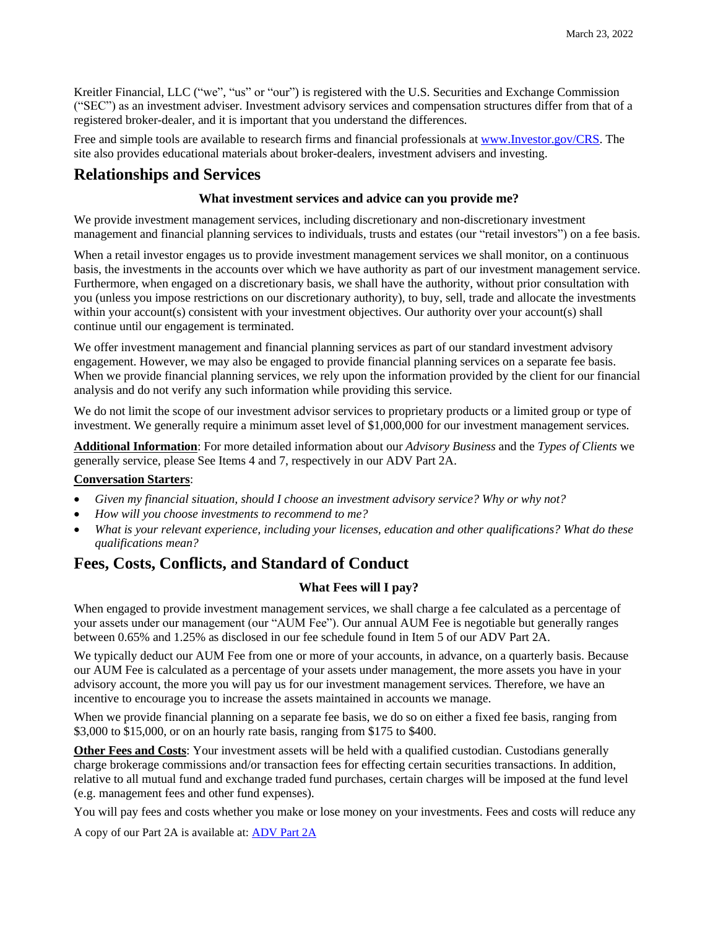Kreitler Financial, LLC ("we", "us" or "our") is registered with the U.S. Securities and Exchange Commission ("SEC") as an investment adviser. Investment advisory services and compensation structures differ from that of a registered broker-dealer, and it is important that you understand the differences.

Free and simple tools are available to research firms and financial professionals at [www.Investor.gov/CRS.](http://www.investor.gov/CRS) The site also provides educational materials about broker-dealers, investment advisers and investing.

# **Relationships and Services**

### **What investment services and advice can you provide me?**

We provide investment management services, including discretionary and non-discretionary investment management and financial planning services to individuals, trusts and estates (our "retail investors") on a fee basis.

When a retail investor engages us to provide investment management services we shall monitor, on a continuous basis, the investments in the accounts over which we have authority as part of our investment management service. Furthermore, when engaged on a discretionary basis, we shall have the authority, without prior consultation with you (unless you impose restrictions on our discretionary authority), to buy, sell, trade and allocate the investments within your account(s) consistent with your investment objectives. Our authority over your account(s) shall continue until our engagement is terminated.

We offer investment management and financial planning services as part of our standard investment advisory engagement. However, we may also be engaged to provide financial planning services on a separate fee basis. When we provide financial planning services, we rely upon the information provided by the client for our financial analysis and do not verify any such information while providing this service.

We do not limit the scope of our investment advisor services to proprietary products or a limited group or type of investment. We generally require a minimum asset level of \$1,000,000 for our investment management services.

**Additional Information**: For more detailed information about our *Advisory Business* and the *Types of Clients* we generally service, please See Items 4 and 7, respectively in our ADV Part 2A.

#### **Conversation Starters**:

- *Given my financial situation, should I choose an investment advisory service? Why or why not?*
- *How will you choose investments to recommend to me?*
- *What is your relevant experience, including your licenses, education and other qualifications? What do these qualifications mean?*

# **Fees, Costs, Conflicts, and Standard of Conduct**

### **What Fees will I pay?**

When engaged to provide investment management services, we shall charge a fee calculated as a percentage of your assets under our management (our "AUM Fee"). Our annual AUM Fee is negotiable but generally ranges between 0.65% and 1.25% as disclosed in our fee schedule found in Item 5 of our ADV Part 2A.

We typically deduct our AUM Fee from one or more of your accounts, in advance, on a quarterly basis. Because our AUM Fee is calculated as a percentage of your assets under management, the more assets you have in your advisory account, the more you will pay us for our investment management services. Therefore, we have an incentive to encourage you to increase the assets maintained in accounts we manage.

When we provide financial planning on a separate fee basis, we do so on either a fixed fee basis, ranging from \$3,000 to \$15,000, or on an hourly rate basis, ranging from \$175 to \$400.

**Other Fees and Costs**: Your investment assets will be held with a qualified custodian. Custodians generally charge brokerage commissions and/or transaction fees for effecting certain securities transactions. In addition, relative to all mutual fund and exchange traded fund purchases, certain charges will be imposed at the fund level (e.g. management fees and other fund expenses).

You will pay fees and costs whether you make or lose money on your investments. Fees and costs will reduce any

A copy of our Part 2A is available at: **ADV Part 2A**